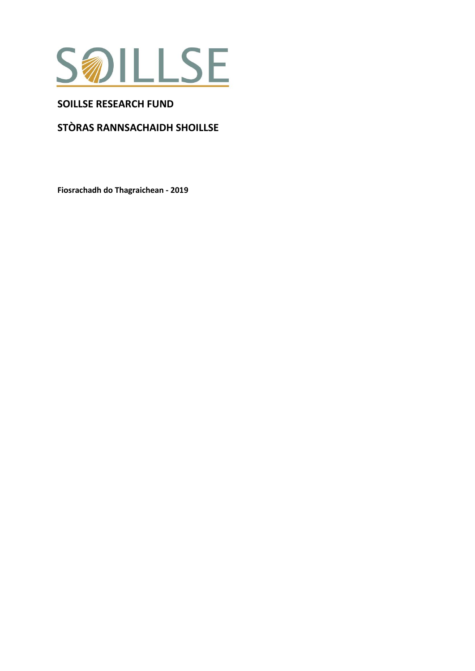

## **SOILLSE RESEARCH FUND**

# STÒRAS RANNSACHAIDH SHOILLSE

Fiosrachadh do Thagraichean - 2019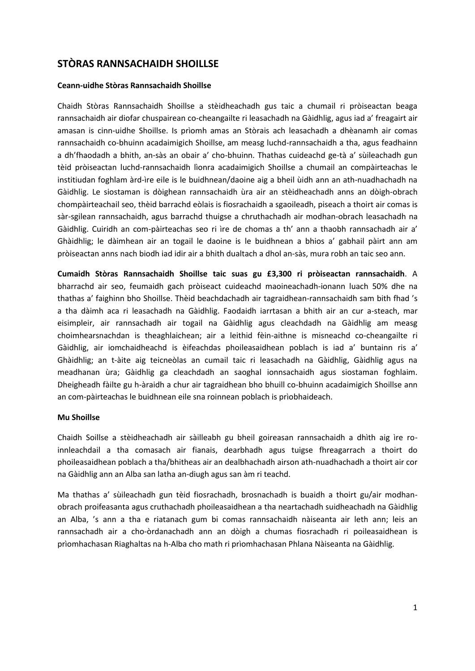## **STÒRAS RANNSACHAIDH SHOILLSE**

#### **Ceann-uidhe Stòras Rannsachaidh Shoillse**

Chaidh Stòras Rannsachaidh Shoillse a stèidheachadh gus taic a chumail ri pròiseactan beaga rannsachaidh air diofar chuspairean co-cheangailte ri leasachadh na Gàidhlig, agus iad a' freagairt air amasan is cinn-uidhe Shoillse. Is prìomh amas an Stòrais ach leasachadh a dhèanamh air comas rannsachaidh co-bhuinn acadaimigich Shoillse, am measg luchd-rannsachaidh a tha, agus feadhainn a dh'fhaodadh a bhith, an-sàs an obair a' cho-bhuinn. Thathas cuideachd ge-tà a' sùileachadh gun tèid pròiseactan luchd-rannsachaidh lìonra acadaimigich Shoillse a chumail an compàirteachas le institiudan foghlam àrd-ìre eile is le buidhnean/daoine aig a bheil ùidh ann an ath-nuadhachadh na Gàidhlig. Le siostaman is dòighean rannsachaidh ùra air an stèidheachadh anns an dòigh-obrach chompàirteachail seo, thèid barrachd eòlais is fiosrachaidh a sgaoileadh, piseach a thoirt air comas is sàr-sgilean rannsachaidh, agus barrachd thuigse a chruthachadh air modhan-obrach leasachadh na Gàidhlig. Cuiridh an com-pàirteachas seo ri ìre de chomas a th' ann a thaobh rannsachadh air a' Ghàidhlig; le dàimhean air an togail le daoine is le buidhnean a bhios a' gabhail pàirt ann am pròiseactan anns nach biodh iad idir air a bhith dualtach a dhol an-sàs, mura robh an taic seo ann.

**Cumaidh Stòras Rannsachaidh Shoillse taic suas gu £3,300 ri pròiseactan rannsachaidh**. A bharrachd air seo, feumaidh gach pròiseact cuideachd maoineachadh-ionann luach 50% dhe na thathas a' faighinn bho Shoillse. Thèid beachdachadh air tagraidhean-rannsachaidh sam bith fhad 's a tha dàimh aca ri leasachadh na Gàidhlig. Faodaidh iarrtasan a bhith air an cur a-steach, mar eisimpleir, air rannsachadh air togail na Gàidhlig agus cleachdadh na Gàidhlig am measg choimhearsnachdan is theaghlaichean; air a leithid fèin-aithne is misneachd co-cheangailte ri Gàidhlig, air iomchaidheachd is èifeachdas phoileasaidhean poblach is iad a' buntainn ris a' Ghàidhlig; an t-àite aig teicneòlas an cumail taic ri leasachadh na Gàidhlig, Gàidhlig agus na meadhanan ùra; Gàidhlig ga cleachdadh an saoghal ionnsachaidh agus siostaman foghlaim. Dheigheadh fàilte gu h-àraidh a chur air tagraidhean bho bhuill co-bhuinn acadaimigich Shoillse ann an com-pàirteachas le buidhnean eile sna roinnean poblach is prìobhaideach.

#### **Mu Shoillse**

Chaidh Soillse a stèidheachadh air sàilleabh gu bheil goireasan rannsachaidh a dhìth aig ìre roinnleachdail a tha comasach air fianais, dearbhadh agus tuigse fhreagarrach a thoirt do phoileasaidhean poblach a tha/bhitheas air an dealbhachadh airson ath-nuadhachadh a thoirt air cor na Gàidhlig ann an Alba san latha an-diugh agus san àm ri teachd.

Ma thathas a' sùileachadh gun tèid fiosrachadh, brosnachadh is buaidh a thoirt gu/air modhanobrach proifeasanta agus cruthachadh phoileasaidhean a tha neartachadh suidheachadh na Gàidhlig an Alba, 's ann a tha e riatanach gum bi comas rannsachaidh nàiseanta air leth ann; leis an rannsachadh air a cho-òrdanachadh ann an dòigh a chumas fiosrachadh ri poileasaidhean is prìomhachasan Riaghaltas na h-Alba cho math ri prìomhachasan Phlana Nàiseanta na Gàidhlig.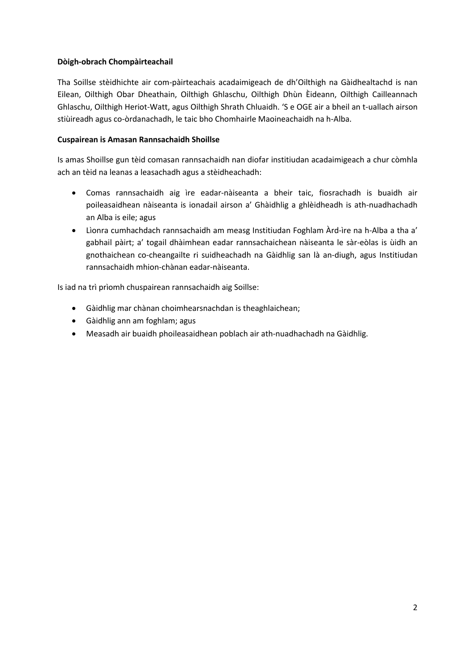## **Dòigh-obrach Chompàirteachail**

Tha Soillse stèidhichte air com-pàirteachais acadaimigeach de dh'Oilthigh na Gàidhealtachd is nan Eilean, Oilthigh Obar Dheathain, Oilthigh Ghlaschu, Oilthigh Dhùn Èideann, Oilthigh Cailleannach Ghlaschu, Oilthigh Heriot-Watt, agus Oilthigh Shrath Chluaidh. 'S e OGE air a bheil an t-uallach airson stiùireadh agus co-òrdanachadh, le taic bho Chomhairle Maoineachaidh na h-Alba.

#### **Cuspairean is Amasan Rannsachaidh Shoillse**

Is amas Shoillse gun tèid comasan rannsachaidh nan diofar institiudan acadaimigeach a chur còmhla ach an tèid na leanas a leasachadh agus a stèidheachadh:

- Comas rannsachaidh aig ìre eadar-nàiseanta a bheir taic, fiosrachadh is buaidh air poileasaidhean nàiseanta is ionadail airson a' Ghàidhlig a ghlèidheadh is ath-nuadhachadh an Alba is eile; agus
- Lìonra cumhachdach rannsachaidh am measg Institiudan Foghlam Àrd-ìre na h-Alba a tha a' gabhail pàirt; a' togail dhàimhean eadar rannsachaichean nàiseanta le sàr-eòlas is ùidh an gnothaichean co-cheangailte ri suidheachadh na Gàidhlig san là an-diugh, agus Institiudan rannsachaidh mhion-chànan eadar-nàiseanta.

Is iad na trì prìomh chuspairean rannsachaidh aig Soillse:

- Gàidhlig mar chànan choimhearsnachdan is theaghlaichean;
- Gàidhlig ann am foghlam; agus
- Measadh air buaidh phoileasaidhean poblach air ath-nuadhachadh na Gàidhlig.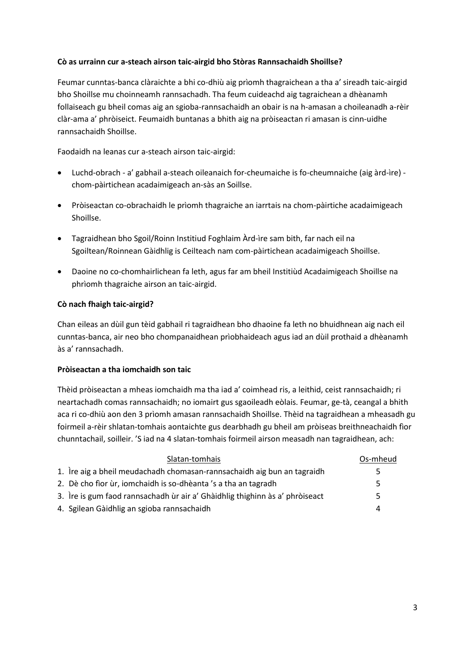### **Cò as urrainn cur a-steach airson taic-airgid bho Stòras Rannsachaidh Shoillse?**

Feumar cunntas-banca clàraichte a bhi co-dhiù aig prìomh thagraichean a tha a' sireadh taic-airgid bho Shoillse mu choinneamh rannsachadh. Tha feum cuideachd aig tagraichean a dhèanamh follaiseach gu bheil comas aig an sgioba-rannsachaidh an obair is na h-amasan a choileanadh a-rèir clàr-ama a' phròiseict. Feumaidh buntanas a bhith aig na pròiseactan ri amasan is cinn-uidhe rannsachaidh Shoillse.

Faodaidh na leanas cur a-steach airson taic-airgid:

- Luchd-obrach a' gabhail a-steach oileanaich for-cheumaiche is fo-cheumnaiche (aig àrd-ìre) chom-pàirtichean acadaimigeach an-sàs an Soillse.
- Pròiseactan co-obrachaidh le prìomh thagraiche an iarrtais na chom-pàirtiche acadaimigeach Shoillse.
- Tagraidhean bho Sgoil/Roinn Institiud Foghlaim Àrd-ìre sam bith, far nach eil na Sgoiltean/Roinnean Gàidhlig is Ceilteach nam com-pàirtichean acadaimigeach Shoillse.
- Daoine no co-chomhairlichean fa leth, agus far am bheil Institiùd Acadaimigeach Shoillse na phrìomh thagraiche airson an taic-airgid.

#### **Cò nach fhaigh taic-airgid?**

Chan eileas an dùil gun tèid gabhail ri tagraidhean bho dhaoine fa leth no bhuidhnean aig nach eil cunntas-banca, air neo bho chompanaidhean prìobhaideach agus iad an dùil prothaid a dhèanamh às a' rannsachadh.

#### **Pròiseactan a tha iomchaidh son taic**

Thèid pròiseactan a mheas iomchaidh ma tha iad a' coimhead ris, a leithid, ceist rannsachaidh; ri neartachadh comas rannsachaidh; no iomairt gus sgaoileadh eòlais. Feumar, ge-tà, ceangal a bhith aca ri co-dhiù aon den 3 prìomh amasan rannsachaidh Shoillse. Thèid na tagraidhean a mheasadh gu foirmeil a-rèir shlatan-tomhais aontaichte gus dearbhadh gu bheil am pròiseas breithneachaidh fìor chunntachail, soilleir. 'S iad na 4 slatan-tomhais foirmeil airson measadh nan tagraidhean, ach:

| Slatan-tomhais                                                               | Os-mheud |
|------------------------------------------------------------------------------|----------|
| 1. Ire aig a bheil meudachadh chomasan-rannsachaidh aig bun an tagraidh      | 5        |
| 2. Dè cho fìor ùr, iomchaidh is so-dhèanta 's a tha an tagradh               | 5        |
| 3. Ire is gum faod rannsachadh ùr air a' Ghàidhlig thighinn às a' phròiseact | 5        |
| 4. Sgilean Gàidhlig an sgioba rannsachaidh                                   | Δ        |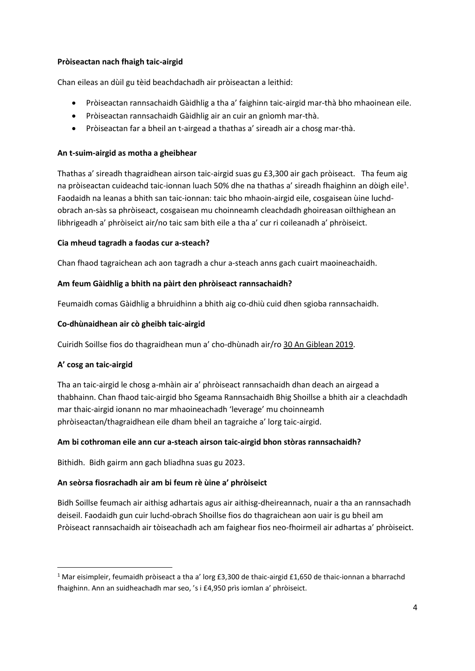### **Pròiseactan nach fhaigh taic-airgid**

Chan eileas an dùil gu tèid beachdachadh air pròiseactan a leithid:

- Pròiseactan rannsachaidh Gàidhlig a tha a' faighinn taic-airgid mar-thà bho mhaoinean eile.
- Pròiseactan rannsachaidh Gàidhlig air an cuir an gnìomh mar-thà.
- Pròiseactan far a bheil an t-airgead a thathas a' sireadh air a chosg mar-thà.

### **An t-suim-airgid as motha a gheibhear**

Thathas a' sireadh thagraidhean airson taic-airgid suas gu £3,300 air gach pròiseact. Tha feum aig na pròiseactan cuideachd taic-ionnan luach 50% dhe na thathas a' sireadh fhaighinn an dòigh eile<sup>1</sup>. Faodaidh na leanas a bhith san taic-ionnan: taic bho mhaoin-airgid eile, cosgaisean ùine luchdobrach an-sàs sa phròiseact, cosgaisean mu choinneamh cleachdadh ghoireasan oilthighean an lìbhrigeadh a' phròiseict air/no taic sam bith eile a tha a' cur ri coileanadh a' phròiseict.

#### **Cia mheud tagradh a faodas cur a-steach?**

Chan fhaod tagraichean ach aon tagradh a chur a-steach anns gach cuairt maoineachaidh.

#### **Am feum Gàidhlig a bhith na pàirt den phròiseact rannsachaidh?**

Feumaidh comas Gàidhlig a bhruidhinn a bhith aig co-dhiù cuid dhen sgioba rannsachaidh.

#### **Co-dhùnaidhean air cò gheibh taic-airgid**

Cuiridh Soillse fios do thagraidhean mun a' cho-dhùnadh air/ro 30 An Giblean 2019.

## **A' cosg an taic-airgid**

**.** 

Tha an taic-airgid le chosg a-mhàin air a' phròiseact rannsachaidh dhan deach an airgead a thabhainn. Chan fhaod taic-airgid bho Sgeama Rannsachaidh Bhig Shoillse a bhith air a cleachdadh mar thaic-airgid ionann no mar mhaoineachadh 'leverage' mu choinneamh phròiseactan/thagraidhean eile dham bheil an tagraiche a' lorg taic-airgid.

## **Am bi cothroman eile ann cur a-steach airson taic-airgid bhon stòras rannsachaidh?**

Bithidh. Bidh gairm ann gach bliadhna suas gu 2023.

## **An seòrsa fiosrachadh air am bi feum rè ùine a' phròiseict**

Bidh Soillse feumach air aithisg adhartais agus air aithisg-dheireannach, nuair a tha an rannsachadh deiseil. Faodaidh gun cuir luchd-obrach Shoillse fios do thagraichean aon uair is gu bheil am Pròiseact rannsachaidh air tòiseachadh ach am faighear fios neo-fhoirmeil air adhartas a' phròiseict.

<sup>1</sup> Mar eisimpleir, feumaidh pròiseact a tha a' lorg £3,300 de thaic-airgid £1,650 de thaic-ionnan a bharrachd fhaighinn. Ann an suidheachadh mar seo, 's i £4,950 prìs iomlan a' phròiseict.